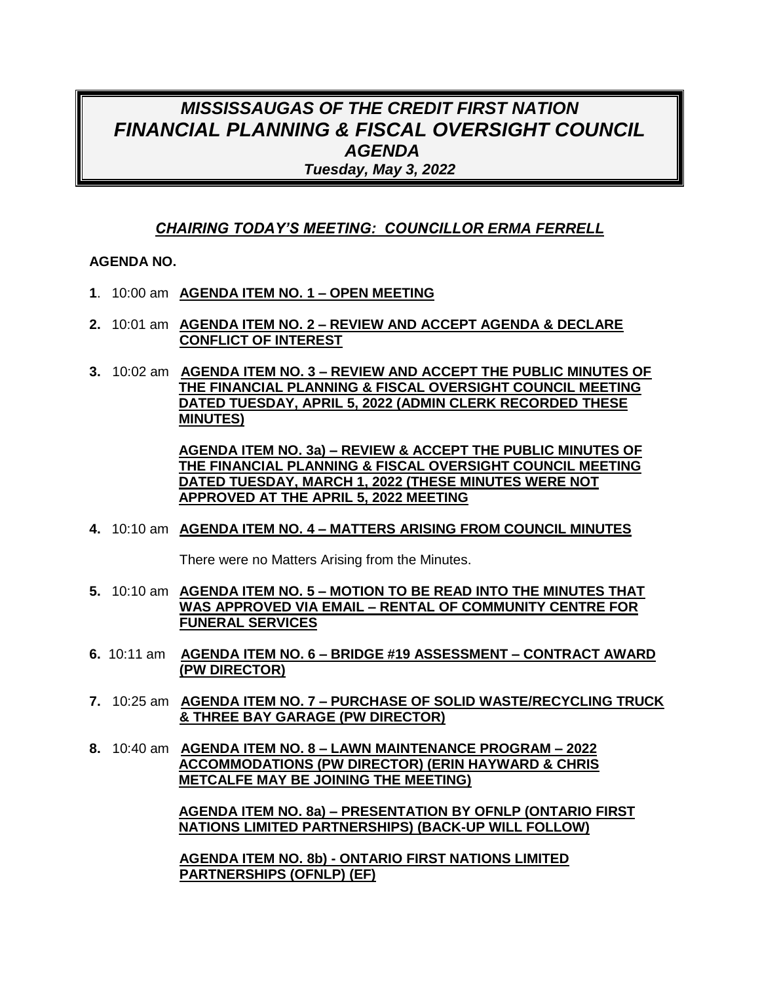## *MISSISSAUGAS OF THE CREDIT FIRST NATION FINANCIAL PLANNING & FISCAL OVERSIGHT COUNCIL AGENDA Tuesday, May 3, 2022*

## *CHAIRING TODAY'S MEETING: COUNCILLOR ERMA FERRELL*

#### **AGENDA NO.**

- **1**. 10:00 am **AGENDA ITEM NO. 1 – OPEN MEETING**
- **2.** 10:01 am **AGENDA ITEM NO. 2 – REVIEW AND ACCEPT AGENDA & DECLARE CONFLICT OF INTEREST**
- **3.** 10:02 am **AGENDA ITEM NO. 3 – REVIEW AND ACCEPT THE PUBLIC MINUTES OF THE FINANCIAL PLANNING & FISCAL OVERSIGHT COUNCIL MEETING DATED TUESDAY, APRIL 5, 2022 (ADMIN CLERK RECORDED THESE MINUTES)**

**AGENDA ITEM NO. 3a) – REVIEW & ACCEPT THE PUBLIC MINUTES OF THE FINANCIAL PLANNING & FISCAL OVERSIGHT COUNCIL MEETING DATED TUESDAY, MARCH 1, 2022 (THESE MINUTES WERE NOT APPROVED AT THE APRIL 5, 2022 MEETING**

#### **4.** 10:10 am **AGENDA ITEM NO. 4 – MATTERS ARISING FROM COUNCIL MINUTES**

There were no Matters Arising from the Minutes.

- **5.** 10:10 am **AGENDA ITEM NO. 5 – MOTION TO BE READ INTO THE MINUTES THAT WAS APPROVED VIA EMAIL – RENTAL OF COMMUNITY CENTRE FOR FUNERAL SERVICES**
- **6.** 10:11 am **AGENDA ITEM NO. 6 – BRIDGE #19 ASSESSMENT – CONTRACT AWARD (PW DIRECTOR)**
- **7.** 10:25 am **AGENDA ITEM NO. 7 – PURCHASE OF SOLID WASTE/RECYCLING TRUCK & THREE BAY GARAGE (PW DIRECTOR)**
- **8.** 10:40 am **AGENDA ITEM NO. 8 – LAWN MAINTENANCE PROGRAM – 2022 ACCOMMODATIONS (PW DIRECTOR) (ERIN HAYWARD & CHRIS METCALFE MAY BE JOINING THE MEETING)**

**AGENDA ITEM NO. 8a) – PRESENTATION BY OFNLP (ONTARIO FIRST NATIONS LIMITED PARTNERSHIPS) (BACK-UP WILL FOLLOW)**

**AGENDA ITEM NO. 8b) - ONTARIO FIRST NATIONS LIMITED PARTNERSHIPS (OFNLP) (EF)**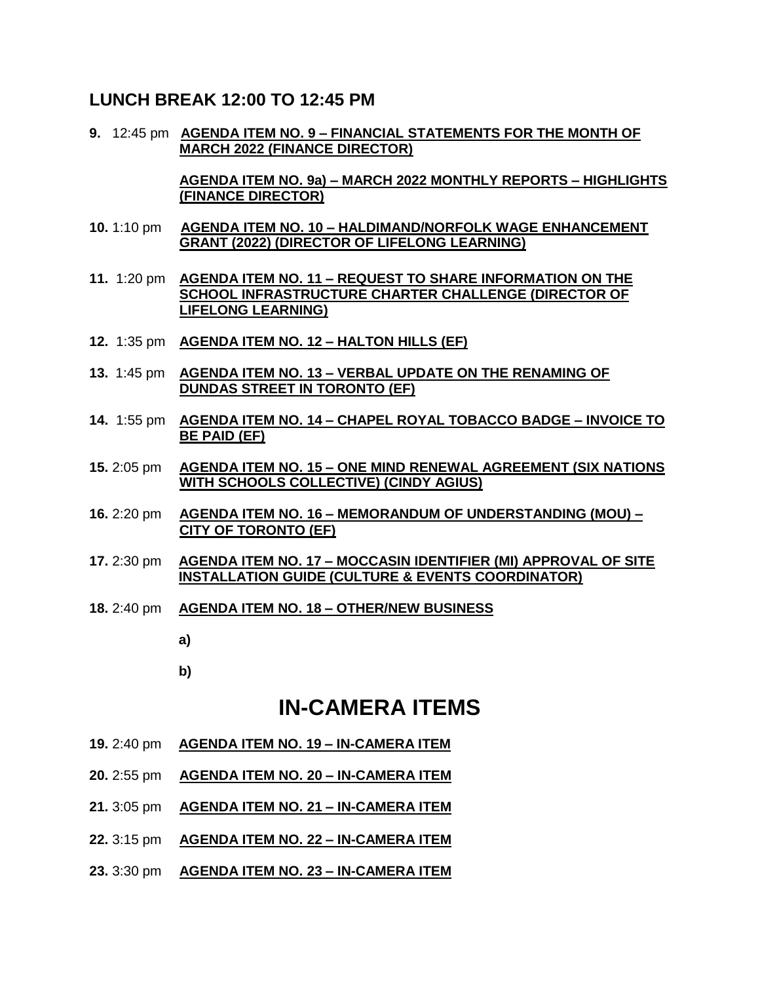### **LUNCH BREAK 12:00 TO 12:45 PM**

**9.** 12:45 pm **AGENDA ITEM NO. 9 – FINANCIAL STATEMENTS FOR THE MONTH OF MARCH 2022 (FINANCE DIRECTOR)** 

> **AGENDA ITEM NO. 9a) – MARCH 2022 MONTHLY REPORTS – HIGHLIGHTS (FINANCE DIRECTOR)**

- **10.** 1:10 pm **AGENDA ITEM NO. 10 – HALDIMAND/NORFOLK WAGE ENHANCEMENT GRANT (2022) (DIRECTOR OF LIFELONG LEARNING)**
- **11.** 1:20 pm **AGENDA ITEM NO. 11 – REQUEST TO SHARE INFORMATION ON THE SCHOOL INFRASTRUCTURE CHARTER CHALLENGE (DIRECTOR OF LIFELONG LEARNING)**
- **12.** 1:35 pm **AGENDA ITEM NO. 12 – HALTON HILLS (EF)**
- **13.** 1:45 pm **AGENDA ITEM NO. 13 – VERBAL UPDATE ON THE RENAMING OF DUNDAS STREET IN TORONTO (EF)**
- **14.** 1:55 pm **AGENDA ITEM NO. 14 – CHAPEL ROYAL TOBACCO BADGE – INVOICE TO BE PAID (EF)**
- **15.** 2:05 pm **AGENDA ITEM NO. 15 – ONE MIND RENEWAL AGREEMENT (SIX NATIONS WITH SCHOOLS COLLECTIVE) (CINDY AGIUS)**
- **16.** 2:20 pm **AGENDA ITEM NO. 16 – MEMORANDUM OF UNDERSTANDING (MOU) – CITY OF TORONTO (EF)**
- **17.** 2:30 pm **AGENDA ITEM NO. 17 – MOCCASIN IDENTIFIER (MI) APPROVAL OF SITE INSTALLATION GUIDE (CULTURE & EVENTS COORDINATOR)**
- **18.** 2:40 pm **AGENDA ITEM NO. 18 – OTHER/NEW BUSINESS**
	- **a)**
	- **b)**

# **IN-CAMERA ITEMS**

- **19.** 2:40 pm **AGENDA ITEM NO. 19 – IN-CAMERA ITEM**
- **20.** 2:55 pm **AGENDA ITEM NO. 20 – IN-CAMERA ITEM**
- **21.** 3:05 pm **AGENDA ITEM NO. 21 – IN-CAMERA ITEM**
- **22.** 3:15 pm **AGENDA ITEM NO. 22 – IN-CAMERA ITEM**
- **23.** 3:30 pm **AGENDA ITEM NO. 23 – IN-CAMERA ITEM**